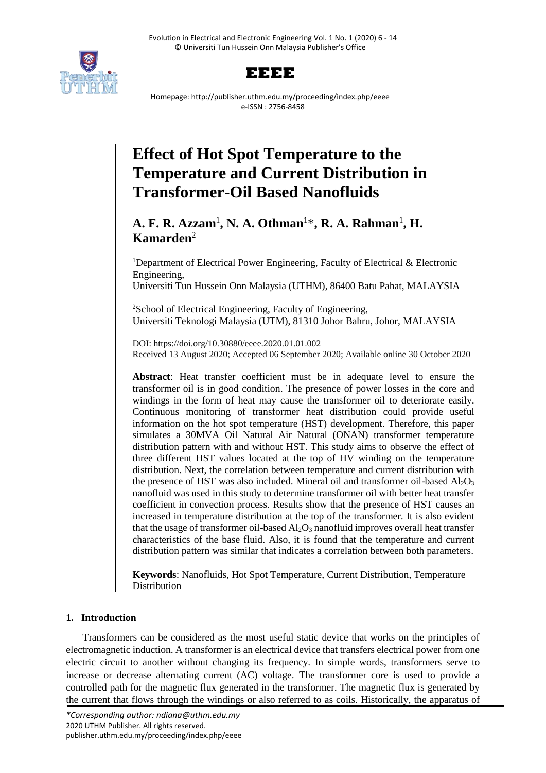



Homepage: http://publisher.uthm.edu.my/proceeding/index.php/eeee e-ISSN : 2756-8458

# **Effect of Hot Spot Temperature to the Temperature and Current Distribution in Transformer-Oil Based Nanofluids**

# **A. F. R. Azzam**<sup>1</sup> **, N. A. Othman**<sup>1</sup>\* **, R. A. Rahman**<sup>1</sup> **, H. Kamarden**<sup>2</sup>

<sup>1</sup>Department of Electrical Power Engineering, Faculty of Electrical  $\&$  Electronic Engineering,

Universiti Tun Hussein Onn Malaysia (UTHM), 86400 Batu Pahat, MALAYSIA

<sup>2</sup>School of Electrical Engineering, Faculty of Engineering, Universiti Teknologi Malaysia (UTM), 81310 Johor Bahru, Johor, MALAYSIA

DOI: https://doi.org/10.30880/eeee.2020.01.01.002 Received 13 August 2020; Accepted 06 September 2020; Available online 30 October 2020

**Abstract**: Heat transfer coefficient must be in adequate level to ensure the transformer oil is in good condition. The presence of power losses in the core and windings in the form of heat may cause the transformer oil to deteriorate easily. Continuous monitoring of transformer heat distribution could provide useful information on the hot spot temperature (HST) development. Therefore, this paper simulates a 30MVA Oil Natural Air Natural (ONAN) transformer temperature distribution pattern with and without HST. This study aims to observe the effect of three different HST values located at the top of HV winding on the temperature distribution. Next, the correlation between temperature and current distribution with the presence of HST was also included. Mineral oil and transformer oil-based  $Al_2O_3$ nanofluid was used in this study to determine transformer oil with better heat transfer coefficient in convection process. Results show that the presence of HST causes an increased in temperature distribution at the top of the transformer. It is also evident that the usage of transformer oil-based  $Al_2O_3$  nanofluid improves overall heat transfer characteristics of the base fluid. Also, it is found that the temperature and current distribution pattern was similar that indicates a correlation between both parameters.

**Keywords**: Nanofluids, Hot Spot Temperature, Current Distribution, Temperature Distribution

# **1. Introduction**

Transformers can be considered as the most useful static device that works on the principles of electromagnetic induction. A transformer is an electrical device that transfers electrical power from one electric circuit to another without changing its frequency. In simple words, transformers serve to increase or decrease alternating current (AC) voltage. The transformer core is used to provide a controlled path for the magnetic flux generated in the transformer. The magnetic flux is generated by the current that flows through the windings or also referred to as coils. Historically, the apparatus of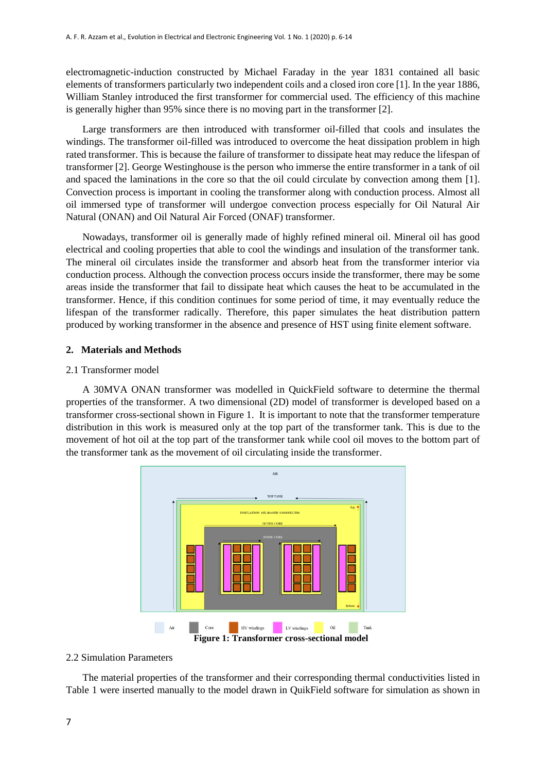electromagnetic-induction constructed by Michael Faraday in the year 1831 contained all basic elements of transformers particularly two independent coils and a closed iron core [1]. In the year 1886, William Stanley introduced the first transformer for commercial used. The efficiency of this machine is generally higher than 95% since there is no moving part in the transformer [2].

Large transformers are then introduced with transformer oil-filled that cools and insulates the windings. The transformer oil-filled was introduced to overcome the heat dissipation problem in high rated transformer. This is because the failure of transformer to dissipate heat may reduce the lifespan of transformer [2]. George Westinghouse is the person who immerse the entire transformer in a tank of oil and spaced the laminations in the core so that the oil could circulate by convection among them [1]. Convection process is important in cooling the transformer along with conduction process. Almost all oil immersed type of transformer will undergoe convection process especially for Oil Natural Air Natural (ONAN) and Oil Natural Air Forced (ONAF) transformer.

Nowadays, transformer oil is generally made of highly refined mineral oil. Mineral oil has good electrical and cooling properties that able to cool the windings and insulation of the transformer tank. The mineral oil circulates inside the transformer and absorb heat from the transformer interior via conduction process. Although the convection process occurs inside the transformer, there may be some areas inside the transformer that fail to dissipate heat which causes the heat to be accumulated in the transformer. Hence, if this condition continues for some period of time, it may eventually reduce the lifespan of the transformer radically. Therefore, this paper simulates the heat distribution pattern produced by working transformer in the absence and presence of HST using finite element software.

#### **2. Materials and Methods**

#### 2.1 Transformer model

A 30MVA ONAN transformer was modelled in QuickField software to determine the thermal properties of the transformer. A two dimensional (2D) model of transformer is developed based on a transformer cross-sectional shown in Figure 1. It is important to note that the transformer temperature distribution in this work is measured only at the top part of the transformer tank. This is due to the movement of hot oil at the top part of the transformer tank while cool oil moves to the bottom part of the transformer tank as the movement of oil circulating inside the transformer.



# 2.2 Simulation Parameters

The material properties of the transformer and their corresponding thermal conductivities listed in Table 1 were inserted manually to the model drawn in QuikField software for simulation as shown in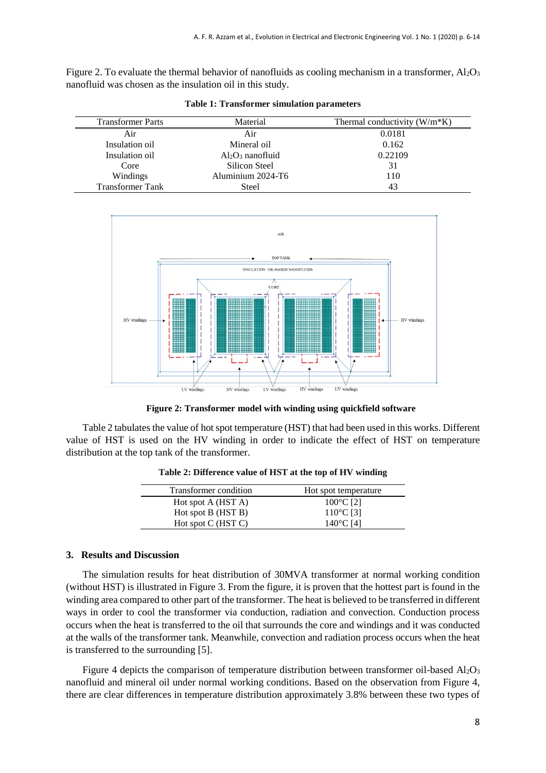Figure 2. To evaluate the thermal behavior of nanofluids as cooling mechanism in a transformer,  $Al_2O_3$ nanofluid was chosen as the insulation oil in this study.

| <b>Transformer Parts</b> | Material            | Thermal conductivity $(W/m*K)$ |
|--------------------------|---------------------|--------------------------------|
| Air                      | Air                 | 0.0181                         |
| Insulation oil           | Mineral oil         | 0.162                          |
| Insulation oil           | $Al_2O_3$ nanofluid | 0.22109                        |
| Core                     | Silicon Steel       | 31                             |
| Windings                 | Aluminium 2024-T6   | 110                            |
| <b>Transformer Tank</b>  | Steel               | 43                             |

**Table 1: Transformer simulation parameters**



**Figure 2: Transformer model with winding using quickfield software**

Table 2 tabulates the value of hot spot temperature (HST) that had been used in this works. Different value of HST is used on the HV winding in order to indicate the effect of HST on temperature distribution at the top tank of the transformer.

| Transformer condition | Hot spot temperature |
|-----------------------|----------------------|
| Hot spot A (HST A)    | $100^{\circ}$ C [2]  |
| Hot spot B (HST B)    | 110°C [3]            |
| Hot spot C (HST C)    | 140°C [4]            |
|                       |                      |

**Table 2: Difference value of HST at the top of HV winding**

#### **3. Results and Discussion**

The simulation results for heat distribution of 30MVA transformer at normal working condition (without HST) is illustrated in Figure 3. From the figure, it is proven that the hottest part is found in the winding area compared to other part of the transformer. The heat is believed to be transferred in different ways in order to cool the transformer via conduction, radiation and convection. Conduction process occurs when the heat is transferred to the oil that surrounds the core and windings and it was conducted at the walls of the transformer tank. Meanwhile, convection and radiation process occurs when the heat is transferred to the surrounding [5].

Figure 4 depicts the comparison of temperature distribution between transformer oil-based  $Al_2O_3$ nanofluid and mineral oil under normal working conditions. Based on the observation from Figure 4, there are clear differences in temperature distribution approximately 3.8% between these two types of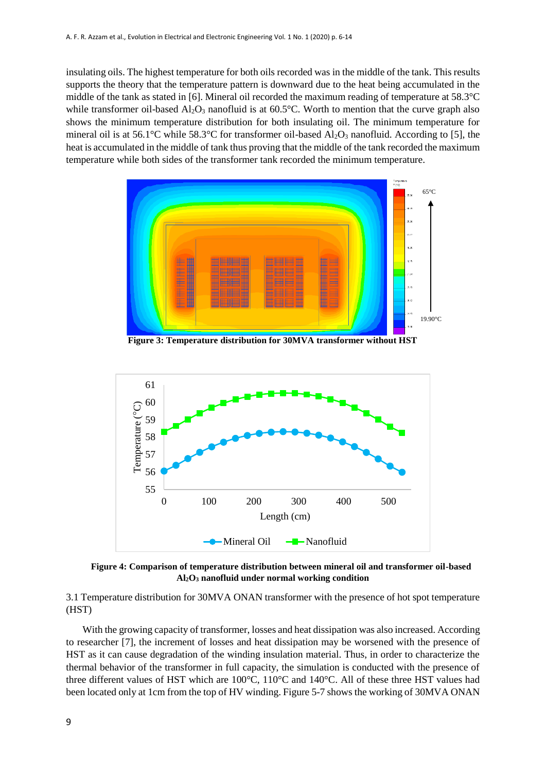insulating oils. The highest temperature for both oils recorded was in the middle of the tank. This results supports the theory that the temperature pattern is downward due to the heat being accumulated in the middle of the tank as stated in [6]. Mineral oil recorded the maximum reading of temperature at 58.3°C while transformer oil-based  $\text{Al}_2\text{O}_3$  nanofluid is at 60.5°C. Worth to mention that the curve graph also shows the minimum temperature distribution for both insulating oil. The minimum temperature for mineral oil is at 56.1°C while 58.3°C for transformer oil-based  $Al_2O_3$  nanofluid. According to [5], the heat is accumulated in the middle of tank thus proving that the middle of the tank recorded the maximum temperature while both sides of the transformer tank recorded the minimum temperature.



**Figure 3: Temperature distribution for 30MVA transformer without HST**



**Figure 4: Comparison of temperature distribution between mineral oil and transformer oil-based Al2O<sup>3</sup> nanofluid under normal working condition**

3.1 Temperature distribution for 30MVA ONAN transformer with the presence of hot spot temperature (HST)

With the growing capacity of transformer, losses and heat dissipation was also increased. According to researcher [7], the increment of losses and heat dissipation may be worsened with the presence of HST as it can cause degradation of the winding insulation material. Thus, in order to characterize the thermal behavior of the transformer in full capacity, the simulation is conducted with the presence of three different values of HST which are 100°C, 110°C and 140°C. All of these three HST values had been located only at 1cm from the top of HV winding. Figure 5-7 shows the working of 30MVA ONAN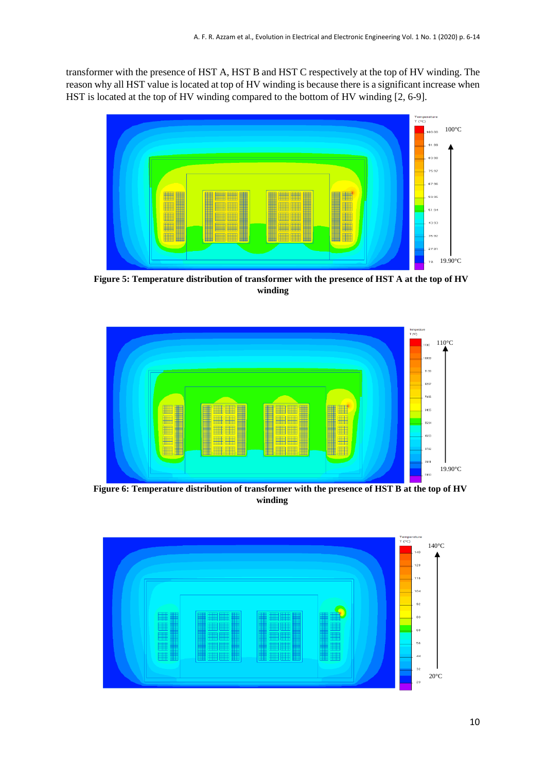transformer with the presence of HST A, HST B and HST C respectively at the top of HV winding. The reason why all HST value is located at top of HV winding is because there is a significant increase when HST is located at the top of HV winding compared to the bottom of HV winding [2, 6-9].



**Figure 5: Temperature distribution of transformer with the presence of HST A at the top of HV winding**



**Figure 6: Temperature distribution of transformer with the presence of HST B at the top of HV winding**

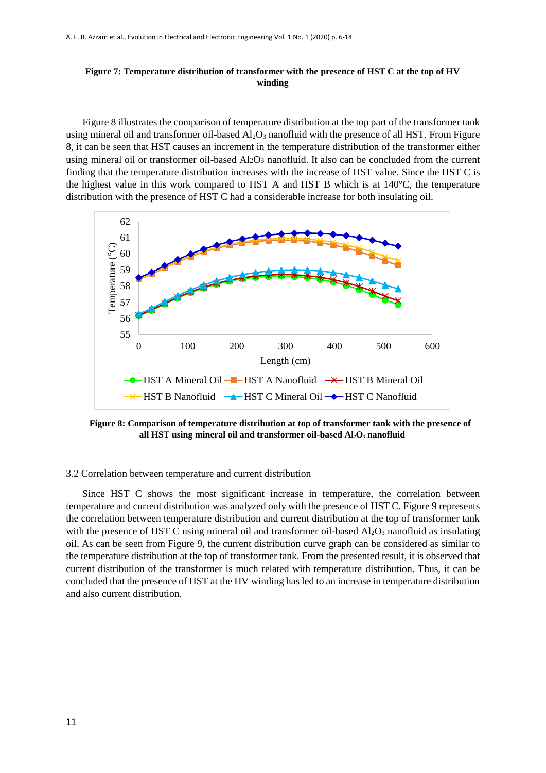# **Figure 7: Temperature distribution of transformer with the presence of HST C at the top of HV winding**

Figure 8 illustrates the comparison of temperature distribution at the top part of the transformer tank using mineral oil and transformer oil-based  $A<sub>12</sub>O<sub>3</sub>$  nanofluid with the presence of all HST. From Figure 8, it can be seen that HST causes an increment in the temperature distribution of the transformer either using mineral oil or transformer oil-based Al2O3 nanofluid. It also can be concluded from the current finding that the temperature distribution increases with the increase of HST value. Since the HST C is the highest value in this work compared to HST A and HST B which is at 140°C, the temperature distribution with the presence of HST C had a considerable increase for both insulating oil.



**Figure 8: Comparison of temperature distribution at top of transformer tank with the presence of all HST using mineral oil and transformer oil-based Al2O<sup>3</sup> nanofluid**

#### 3.2 Correlation between temperature and current distribution

Since HST C shows the most significant increase in temperature, the correlation between temperature and current distribution was analyzed only with the presence of HST C. Figure 9 represents the correlation between temperature distribution and current distribution at the top of transformer tank with the presence of HST C using mineral oil and transformer oil-based  $Al_2O_3$  nanofluid as insulating oil. As can be seen from Figure 9, the current distribution curve graph can be considered as similar to the temperature distribution at the top of transformer tank. From the presented result, it is observed that current distribution of the transformer is much related with temperature distribution. Thus, it can be concluded that the presence of HST at the HV winding has led to an increase in temperature distribution and also current distribution.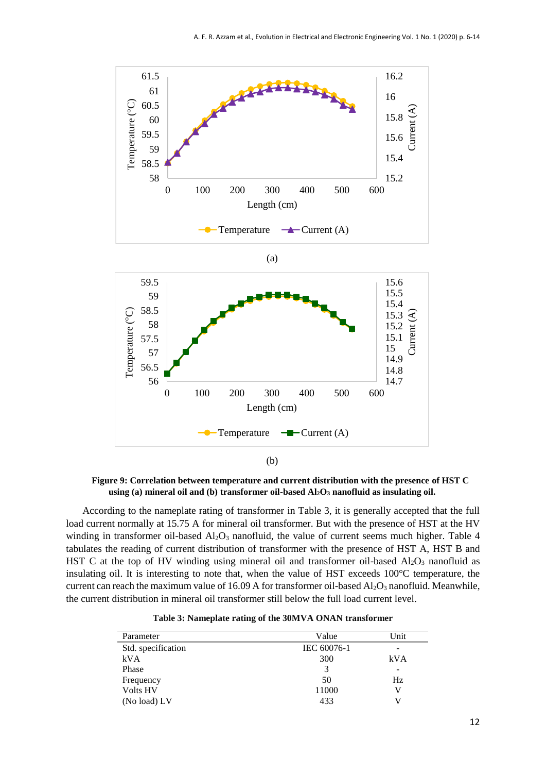

**Figure 9: Correlation between temperature and current distribution with the presence of HST C using (a) mineral oil and (b) transformer oil-based Al2O<sup>3</sup> nanofluid as insulating oil.**

According to the nameplate rating of transformer in Table 3, it is generally accepted that the full load current normally at 15.75 A for mineral oil transformer. But with the presence of HST at the HV winding in transformer oil-based Al<sub>2</sub>O<sub>3</sub> nanofluid, the value of current seems much higher. Table 4 tabulates the reading of current distribution of transformer with the presence of HST A, HST B and HST C at the top of HV winding using mineral oil and transformer oil-based  $Al_2O_3$  nanofluid as insulating oil. It is interesting to note that, when the value of HST exceeds 100°C temperature, the current can reach the maximum value of 16.09 A for transformer oil-based Al<sub>2</sub>O<sub>3</sub> nanofluid. Meanwhile, the current distribution in mineral oil transformer still below the full load current level.

| Parameter          | Value       | Unit |
|--------------------|-------------|------|
| Std. specification | IEC 60076-1 | -    |
| kVA                | 300         | kVA  |
| Phase              |             | -    |
| Frequency          | 50          | Hz.  |
| <b>Volts HV</b>    | 11000       | V    |
| (No load) LV       | 433         |      |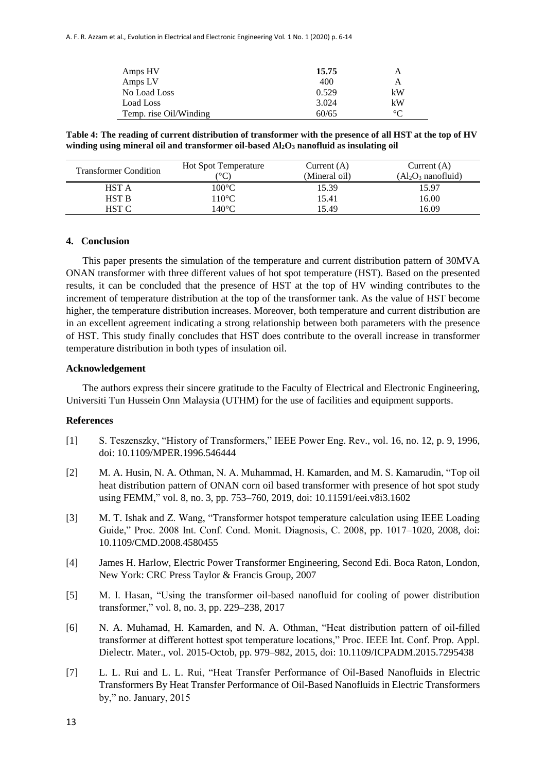| Amps HV                | 15.75 | А       |
|------------------------|-------|---------|
| Amps LV                | 400   | А       |
| No Load Loss           | 0.529 | kW      |
| Load Loss              | 3.024 | kW      |
| Temp. rise Oil/Winding | 60/65 | $\circ$ |

**Table 4: The reading of current distribution of transformer with the presence of all HST at the top of HV winding using mineral oil and transformer oil-based Al2O<sup>3</sup> nanofluid as insulating oil**

| <b>Transformer Condition</b> | <b>Hot Spot Temperature</b> | Current $(A)$ | Current $(A)$       |
|------------------------------|-----------------------------|---------------|---------------------|
|                              | (°C)                        | (Mineral oil) | $(Al2O3 nanofluid)$ |
| <b>HST A</b>                 | $100^{\circ}\mathrm{C}$     | 15.39         | 15.97               |
| <b>HST B</b>                 | $110^{\circ}$ C             | 15.41         | 16.00               |
| <b>HST C</b>                 | $140^{\circ}$ C             | 15.49         | 16.09               |

#### **4. Conclusion**

This paper presents the simulation of the temperature and current distribution pattern of 30MVA ONAN transformer with three different values of hot spot temperature (HST). Based on the presented results, it can be concluded that the presence of HST at the top of HV winding contributes to the increment of temperature distribution at the top of the transformer tank. As the value of HST become higher, the temperature distribution increases. Moreover, both temperature and current distribution are in an excellent agreement indicating a strong relationship between both parameters with the presence of HST. This study finally concludes that HST does contribute to the overall increase in transformer temperature distribution in both types of insulation oil.

#### **Acknowledgement**

The authors express their sincere gratitude to the Faculty of Electrical and Electronic Engineering, Universiti Tun Hussein Onn Malaysia (UTHM) for the use of facilities and equipment supports.

### **References**

- [1] S. Teszenszky, "History of Transformers," IEEE Power Eng. Rev., vol. 16, no. 12, p. 9, 1996, doi: 10.1109/MPER.1996.546444
- [2] M. A. Husin, N. A. Othman, N. A. Muhammad, H. Kamarden, and M. S. Kamarudin, "Top oil heat distribution pattern of ONAN corn oil based transformer with presence of hot spot study using FEMM," vol. 8, no. 3, pp. 753–760, 2019, doi: 10.11591/eei.v8i3.1602
- [3] M. T. Ishak and Z. Wang, "Transformer hotspot temperature calculation using IEEE Loading Guide," Proc. 2008 Int. Conf. Cond. Monit. Diagnosis, C. 2008, pp. 1017–1020, 2008, doi: 10.1109/CMD.2008.4580455
- [4] James H. Harlow, Electric Power Transformer Engineering, Second Edi. Boca Raton, London, New York: CRC Press Taylor & Francis Group, 2007
- [5] M. I. Hasan, "Using the transformer oil-based nanofluid for cooling of power distribution transformer," vol. 8, no. 3, pp. 229–238, 2017
- [6] N. A. Muhamad, H. Kamarden, and N. A. Othman, "Heat distribution pattern of oil-filled transformer at different hottest spot temperature locations," Proc. IEEE Int. Conf. Prop. Appl. Dielectr. Mater., vol. 2015-Octob, pp. 979–982, 2015, doi: 10.1109/ICPADM.2015.7295438
- [7] L. L. Rui and L. L. Rui, "Heat Transfer Performance of Oil-Based Nanofluids in Electric Transformers By Heat Transfer Performance of Oil-Based Nanofluids in Electric Transformers by," no. January, 2015